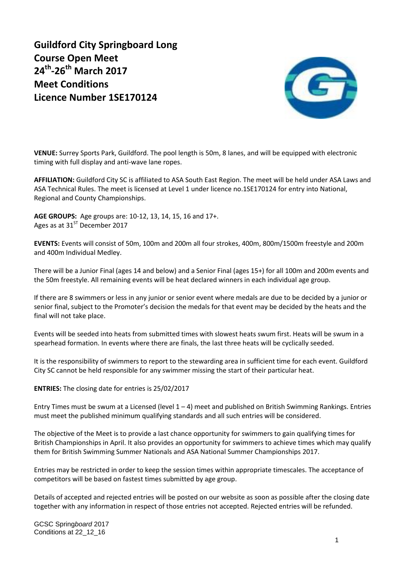**Guildford City Springboard Long Course Open Meet 24th -26th March 2017 Meet Conditions Licence Number 1SE170124**



**VENUE:** Surrey Sports Park, Guildford. The pool length is 50m, 8 lanes, and will be equipped with electronic timing with full display and anti-wave lane ropes.

**AFFILIATION:** Guildford City SC is affiliated to ASA South East Region. The meet will be held under ASA Laws and ASA Technical Rules. The meet is licensed at Level 1 under licence no.1SE170124 for entry into National, Regional and County Championships.

**AGE GROUPS:** Age groups are: 10-12, 13, 14, 15, 16 and 17+. Ages as at  $31^{ST}$  December 2017

**EVENTS:** Events will consist of 50m, 100m and 200m all four strokes, 400m, 800m/1500m freestyle and 200m and 400m Individual Medley.

There will be a Junior Final (ages 14 and below) and a Senior Final (ages 15+) for all 100m and 200m events and the 50m freestyle. All remaining events will be heat declared winners in each individual age group.

If there are 8 swimmers or less in any junior or senior event where medals are due to be decided by a junior or senior final, subject to the Promoter's decision the medals for that event may be decided by the heats and the final will not take place.

Events will be seeded into heats from submitted times with slowest heats swum first. Heats will be swum in a spearhead formation. In events where there are finals, the last three heats will be cyclically seeded.

It is the responsibility of swimmers to report to the stewarding area in sufficient time for each event. Guildford City SC cannot be held responsible for any swimmer missing the start of their particular heat.

**ENTRIES:** The closing date for entries is 25/02/2017

Entry Times must be swum at a Licensed (level  $1 - 4$ ) meet and published on British Swimming Rankings. Entries must meet the published minimum qualifying standards and all such entries will be considered.

The objective of the Meet is to provide a last chance opportunity for swimmers to gain qualifying times for British Championships in April. It also provides an opportunity for swimmers to achieve times which may qualify them for British Swimming Summer Nationals and ASA National Summer Championships 2017.

Entries may be restricted in order to keep the session times within appropriate timescales. The acceptance of competitors will be based on fastest times submitted by age group.

Details of accepted and rejected entries will be posted on our website as soon as possible after the closing date together with any information in respect of those entries not accepted. Rejected entries will be refunded.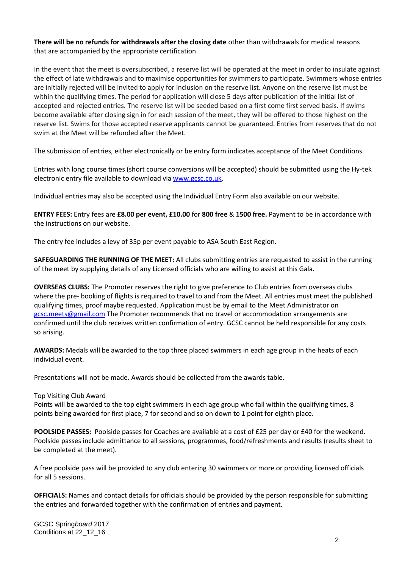**There will be no refunds for withdrawals after the closing date** other than withdrawals for medical reasons that are accompanied by the appropriate certification.

In the event that the meet is oversubscribed, a reserve list will be operated at the meet in order to insulate against the effect of late withdrawals and to maximise opportunities for swimmers to participate. Swimmers whose entries are initially rejected will be invited to apply for inclusion on the reserve list. Anyone on the reserve list must be within the qualifying times. The period for application will close 5 days after publication of the initial list of accepted and rejected entries. The reserve list will be seeded based on a first come first served basis. If swims become available after closing sign in for each session of the meet, they will be offered to those highest on the reserve list. Swims for those accepted reserve applicants cannot be guaranteed. Entries from reserves that do not swim at the Meet will be refunded after the Meet.

The submission of entries, either electronically or be entry form indicates acceptance of the Meet Conditions.

Entries with long course times (short course conversions will be accepted) should be submitted using the Hy-tek electronic entry file available to download via [www.gcsc.co.uk.](http://www.gcsc.co.uk/)

Individual entries may also be accepted using the Individual Entry Form also available on our website.

**ENTRY FEES:** Entry fees are **£8.00 per event, £10.00** for **800 free** & **1500 free.** Payment to be in accordance with the instructions on our website.

The entry fee includes a levy of 35p per event payable to ASA South East Region.

**SAFEGUARDING THE RUNNING OF THE MEET:** All clubs submitting entries are requested to assist in the running of the meet by supplying details of any Licensed officials who are willing to assist at this Gala.

**OVERSEAS CLUBS:** The Promoter reserves the right to give preference to Club entries from overseas clubs where the pre- booking of flights is required to travel to and from the Meet. All entries must meet the published qualifying times, proof maybe requested. Application must be by email to the Meet Administrator on [gcsc.meets@gmail.com](mailto:gcsc.meets@gmail.com) The Promoter recommends that no travel or accommodation arrangements are confirmed until the club receives written confirmation of entry. GCSC cannot be held responsible for any costs so arising.

**AWARDS:** Medals will be awarded to the top three placed swimmers in each age group in the heats of each individual event.

Presentations will not be made. Awards should be collected from the awards table.

## Top Visiting Club Award

Points will be awarded to the top eight swimmers in each age group who fall within the qualifying times, 8 points being awarded for first place, 7 for second and so on down to 1 point for eighth place.

**POOLSIDE PASSES:** Poolside passes for Coaches are available at a cost of £25 per day or £40 for the weekend. Poolside passes include admittance to all sessions, programmes, food/refreshments and results (results sheet to be completed at the meet).

A free poolside pass will be provided to any club entering 30 swimmers or more or providing licensed officials for all 5 sessions.

**OFFICIALS:** Names and contact details for officials should be provided by the person responsible for submitting the entries and forwarded together with the confirmation of entries and payment.